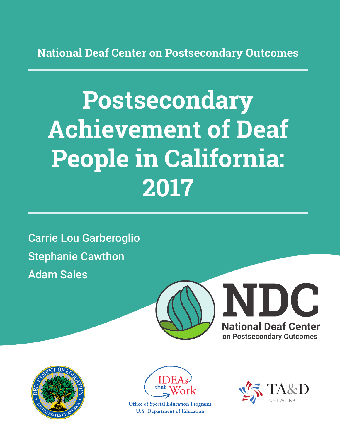**National Deaf Center on Postsecondary Outcomes**

# **Postsecondary Achievement of Deaf People in California: 2017**

Carrie Lou Garberoglio Stephanie Cawthon Adam Sales







**Office of Special Education Programs U.S. Department of Education** 

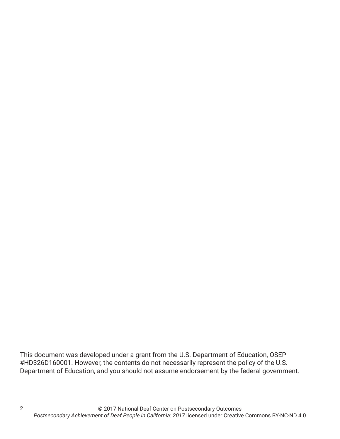This document was developed under a grant from the U.S. Department of Education, OSEP #HD326D160001. However, the contents do not necessarily represent the policy of the U.S. Department of Education, and you should not assume endorsement by the federal government.

2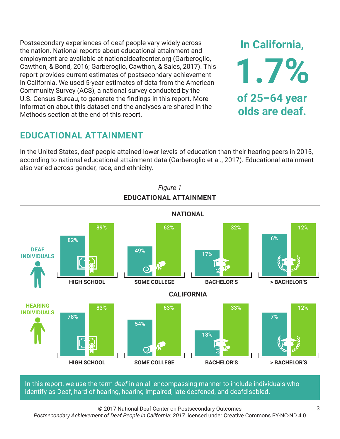Postsecondary experiences of deaf people vary widely across the nation. National reports about educational attainment and employment are available at nationaldeafcenter.org (Garberoglio, Cawthon, & Bond, 2016; Garberoglio, Cawthon, & Sales, 2017). This report provides current estimates of postsecondary achievement in California. We used 5-year estimates of data from the American Community Survey (ACS), a national survey conducted by the U.S. Census Bureau, to generate the findings in this report. More information about this dataset and the analyses are shared in the Methods section at the end of this report.

# **EDUCATIONAL ATTAINMENT**

In the United States, deaf people attained lower levels of education than their hearing peers in 2015, according to national educational attainment data (Garberoglio et al., 2017). Educational attainment also varied across gender, race, and ethnicity.



In this report, we use the term *deaf* in an all-encompassing manner to include individuals who identify as Deaf, hard of hearing, hearing impaired, late deafened, and deafdisabled.

© 2017 National Deaf Center on Postsecondary Outcomes

*Postsecondary Achievement of Deaf People in California: 2017* licensed under Creative Commons BY-NC-ND 4.0

**In California,**

**1.7%**

**of 25–64 year**

**olds are deaf.**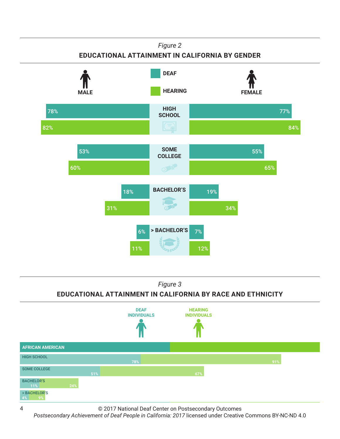

*Figure 3* **EDUCATIONAL ATTAINMENT IN CALIFORNIA BY RACE AND ETHNICITY**



© 2017 National Deaf Center on Postsecondary Outcomes

**ASIAN/PACIFIC ISLANDER**

Postsecondary Achievement of Deaf People in California: 2017 licensed under Creative Commons BY-NC-ND 4.0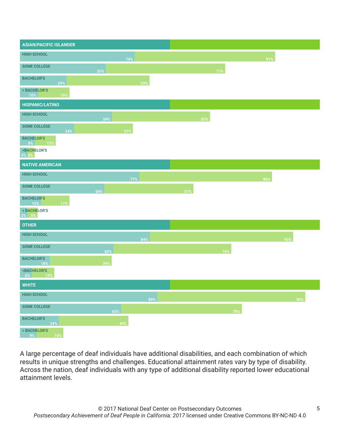| <b>ASIAN/PACIFIC ISLANDER</b>   |     |     |     |     |     |
|---------------------------------|-----|-----|-----|-----|-----|
| <b>HIGH SCHOOL</b>              |     | 74% |     |     | 91% |
| <b>SOME COLLEGE</b>             | 55% |     |     | 77% |     |
| <b>BACHELOR'S</b><br>29%        |     | 53% |     |     |     |
| > BACHELOR'S<br>19%<br>10%      |     |     |     |     |     |
| <b>HISPANIC/LATINO</b>          |     |     |     |     |     |
| <b>HIGH SCHOOL</b>              | 59% |     | 63% |     |     |
| <b>SOME COLLEGE</b><br>34%      |     | 37% |     |     |     |
| <b>BACHELOR'S</b><br>8% 12%     |     |     |     |     |     |
| >BACHELOR'S<br>3% 3%            |     |     |     |     |     |
| <b>NATIVE AMERICAN</b>          |     |     |     |     |     |
| <b>HIGH SCHOOL</b>              |     | 77% |     |     | 86% |
| <b>SOME COLLEGE</b>             | 54% |     | 57% |     |     |
| <b>BACHELOR'S</b><br>12%<br>17% |     |     |     |     |     |
| > BACHELOR'S<br>$3\%$ 5%        |     |     |     |     |     |
| <b>OTHER</b>                    |     |     |     |     |     |
| <b>HIGH SCHOOL</b>              |     | 84% |     |     | 93% |
| <b>SOME COLLEGE</b>             | 60% |     |     | 76% |     |
| <b>BACHELOR'S</b><br>18%        | 39% |     |     |     |     |
| >BACHELOR'S<br>6%<br>13%        |     |     |     |     |     |
| <b>WHITE</b>                    |     |     |     |     |     |
| <b>HIGH SCHOOL</b>              |     | 89% |     |     | 96% |
| <b>SOME COLLEGE</b>             | 65% |     |     | 78% |     |
| <b>BACHELOR'S</b><br>24%        |     | 44% |     |     |     |
| > BACHELOR'S<br>16%<br>9%       |     |     |     |     |     |

A large percentage of deaf individuals have additional disabilities, and each combination of which results in unique strengths and challenges. Educational attainment rates vary by type of disability. Across the nation, deaf individuals with any type of additional disability reported lower educational attainment levels.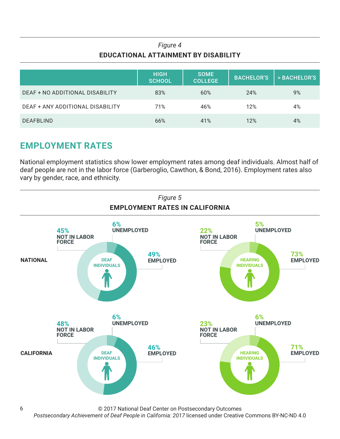## *Figure 4* **EDUCATIONAL ATTAINMENT BY DISABILITY**

|                                  | <b>HIGH</b><br>SCHOOL | <b>SOME</b><br><b>COLLEGE</b> | <b>BACHELOR'S</b> | > BACHELOR'S |
|----------------------------------|-----------------------|-------------------------------|-------------------|--------------|
| DEAF + NO ADDITIONAL DISABILITY  | 83%                   | 60%                           | 24%               | 9%           |
| DEAF + ANY ADDITIONAL DISABILITY | 71%                   | 46%                           | 12%               | 4%           |
| <b>DEAFBLIND</b>                 | 66%                   | 41%                           | 12%               | 4%           |

# **EMPLOYMENT RATES**

6

National employment statistics show lower employment rates among deaf individuals. Almost half of deaf people are not in the labor force (Garberoglio, Cawthon, & Bond, 2016). Employment rates also vary by gender, race, and ethnicity.



© 2017 National Deaf Center on Postsecondary Outcomes

*Postsecondary Achievement of Deaf People in California: 2017* licensed under Creative Commons BY-NC-ND 4.0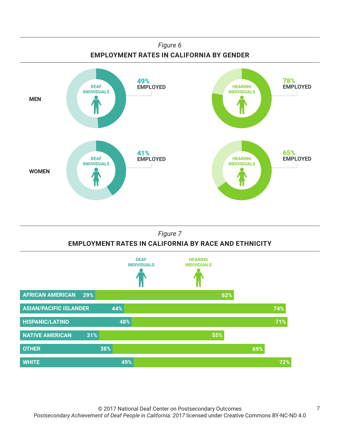

## *Figure 7* **EMPLOYMENT RATES IN CALIFORNIA BY RACE AND ETHNICITY**

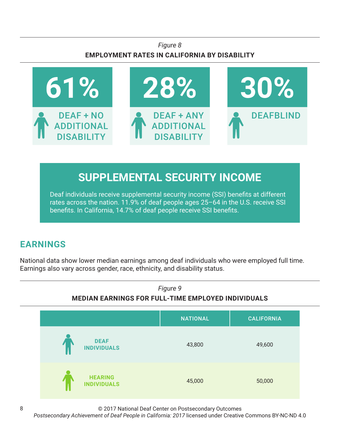## *Figure 8* **EMPLOYMENT RATES IN CALIFORNIA BY DISABILITY**



# **SUPPLEMENTAL SECURITY INCOME**

Deaf individuals receive supplemental security income (SSI) benefits at different rates across the nation. 11.9% of deaf people ages 25–64 in the U.S. receive SSI benefits. In California, 14.7% of deaf people receive SSI benefits.

# **EARNINGS**

National data show lower median earnings among deaf individuals who were employed full time. Earnings also vary across gender, race, ethnicity, and disability status.



© 2017 National Deaf Center on Postsecondary Outcomes

*Postsecondary Achievement of Deaf People in California: 2017* licensed under Creative Commons BY-NC-ND 4.0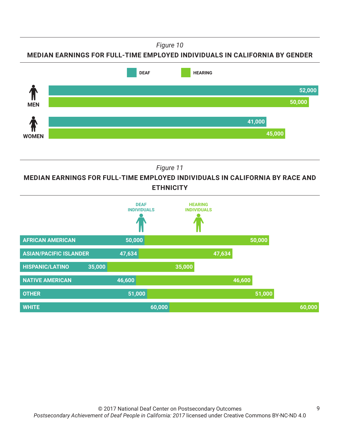*Figure 10*

### **MEDIAN EARNINGS FOR FULL-TIME EMPLOYED INDIVIDUALS IN CALIFORNIA BY GENDER**



*Figure 11*

**MEDIAN EARNINGS FOR FULL-TIME EMPLOYED INDIVIDUALS IN CALIFORNIA BY RACE AND ETHNICITY**

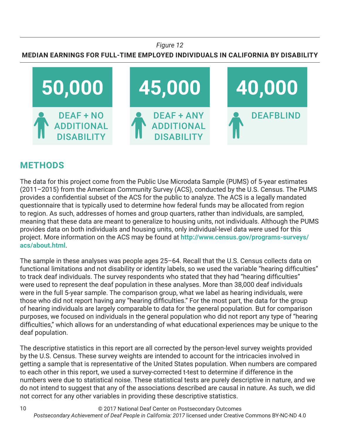#### *Figure 12*

## **MEDIAN EARNINGS FOR FULL-TIME EMPLOYED INDIVIDUALS IN CALIFORNIA BY DISABILITY**



## **METHODS**

10

The data for this project come from the Public Use Microdata Sample (PUMS) of 5-year estimates (2011–2015) from the American Community Survey (ACS), conducted by the U.S. Census. The PUMS provides a confidential subset of the ACS for the public to analyze. The ACS is a legally mandated questionnaire that is typically used to determine how federal funds may be allocated from region to region. As such, addresses of homes and group quarters, rather than individuals, are sampled, meaning that these data are meant to generalize to housing units, not individuals. Although the PUMS provides data on both individuals and housing units, only individual-level data were used for this project. More information on the ACS may be found at **http://www.census.gov/programs-surveys/ acs/about.html**.

The sample in these analyses was people ages 25–64. Recall that the U.S. Census collects data on functional limitations and not disability or identity labels, so we used the variable "hearing difficulties" to track deaf individuals. The survey respondents who stated that they had "hearing difficulties" were used to represent the deaf population in these analyses. More than 38,000 deaf individuals were in the full 5-year sample. The comparison group, what we label as hearing individuals, were those who did not report having any "hearing difficulties." For the most part, the data for the group of hearing individuals are largely comparable to data for the general population. But for comparison purposes, we focused on individuals in the general population who did not report any type of "hearing difficulties," which allows for an understanding of what educational experiences may be unique to the deaf population.

The descriptive statistics in this report are all corrected by the person-level survey weights provided by the U.S. Census. These survey weights are intended to account for the intricacies involved in getting a sample that is representative of the United States population. When numbers are compared to each other in this report, we used a survey-corrected t-test to determine if difference in the numbers were due to statistical noise. These statistical tests are purely descriptive in nature, and we do not intend to suggest that any of the associations described are causal in nature. As such, we did not correct for any other variables in providing these descriptive statistics.